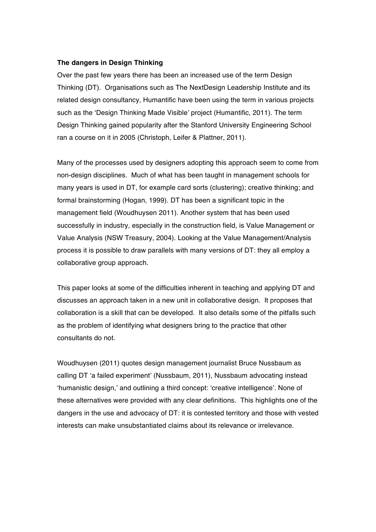## **The dangers in Design Thinking**

Over the past few years there has been an increased use of the term Design Thinking (DT). Organisations such as The NextDesign Leadership Institute and its related design consultancy, Humantific have been using the term in various projects such as the 'Design Thinking Made Visible' project (Humantific, 2011). The term Design Thinking gained popularity after the Stanford University Engineering School ran a course on it in 2005 (Christoph, Leifer & Plattner, 2011).

Many of the processes used by designers adopting this approach seem to come from non-design disciplines. Much of what has been taught in management schools for many years is used in DT, for example card sorts (clustering); creative thinking; and formal brainstorming (Hogan, 1999). DT has been a significant topic in the management field (Woudhuysen 2011). Another system that has been used successfully in industry, especially in the construction field, is Value Management or Value Analysis (NSW Treasury, 2004). Looking at the Value Management/Analysis process it is possible to draw parallels with many versions of DT: they all employ a collaborative group approach.

This paper looks at some of the difficulties inherent in teaching and applying DT and discusses an approach taken in a new unit in collaborative design. It proposes that collaboration is a skill that can be developed. It also details some of the pitfalls such as the problem of identifying what designers bring to the practice that other consultants do not.

Woudhuysen (2011) quotes design management journalist Bruce Nussbaum as calling DT 'a failed experiment' (Nussbaum, 2011), Nussbaum advocating instead 'humanistic design,' and outlining a third concept: 'creative intelligence'. None of these alternatives were provided with any clear definitions. This highlights one of the dangers in the use and advocacy of DT: it is contested territory and those with vested interests can make unsubstantiated claims about its relevance or irrelevance.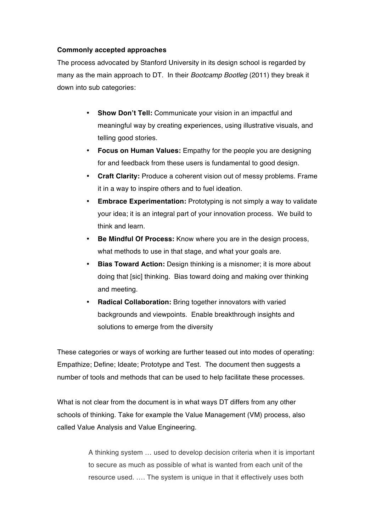## **Commonly accepted approaches**

The process advocated by Stanford University in its design school is regarded by many as the main approach to DT. In their *Bootcamp Bootleg* (2011) they break it down into sub categories:

- **Show Don't Tell:** Communicate your vision in an impactful and meaningful way by creating experiences, using illustrative visuals, and telling good stories.
- **Focus on Human Values:** Empathy for the people you are designing for and feedback from these users is fundamental to good design.
- **Craft Clarity:** Produce a coherent vision out of messy problems. Frame it in a way to inspire others and to fuel ideation.
- **Embrace Experimentation:** Prototyping is not simply a way to validate your idea; it is an integral part of your innovation process. We build to think and learn.
- **Be Mindful Of Process:** Know where you are in the design process, what methods to use in that stage, and what your goals are.
- **Bias Toward Action:** Design thinking is a misnomer; it is more about doing that [sic] thinking. Bias toward doing and making over thinking and meeting.
- **Radical Collaboration:** Bring together innovators with varied backgrounds and viewpoints. Enable breakthrough insights and solutions to emerge from the diversity

These categories or ways of working are further teased out into modes of operating: Empathize; Define; Ideate; Prototype and Test. The document then suggests a number of tools and methods that can be used to help facilitate these processes.

What is not clear from the document is in what ways DT differs from any other schools of thinking. Take for example the Value Management (VM) process, also called Value Analysis and Value Engineering.

> A thinking system … used to develop decision criteria when it is important to secure as much as possible of what is wanted from each unit of the resource used. …. The system is unique in that it effectively uses both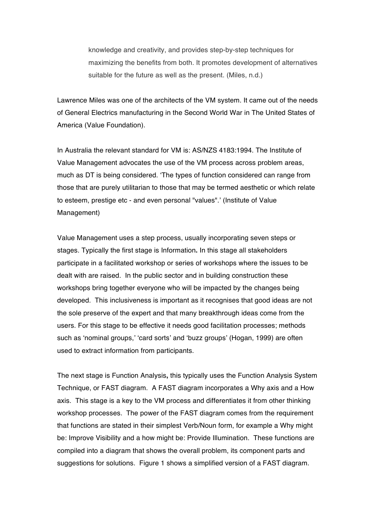knowledge and creativity, and provides step-by-step techniques for maximizing the benefits from both. It promotes development of alternatives suitable for the future as well as the present. (Miles, n.d.)

Lawrence Miles was one of the architects of the VM system. It came out of the needs of General Electrics manufacturing in the Second World War in The United States of America (Value Foundation).

In Australia the relevant standard for VM is: AS/NZS 4183:1994. The Institute of Value Management advocates the use of the VM process across problem areas, much as DT is being considered. 'The types of function considered can range from those that are purely utilitarian to those that may be termed aesthetic or which relate to esteem, prestige etc - and even personal "values".' (Institute of Value Management)

Value Management uses a step process, usually incorporating seven steps or stages. Typically the first stage is Information**.** In this stage all stakeholders participate in a facilitated workshop or series of workshops where the issues to be dealt with are raised. In the public sector and in building construction these workshops bring together everyone who will be impacted by the changes being developed. This inclusiveness is important as it recognises that good ideas are not the sole preserve of the expert and that many breakthrough ideas come from the users. For this stage to be effective it needs good facilitation processes; methods such as 'nominal groups,' 'card sorts' and 'buzz groups' (Hogan, 1999) are often used to extract information from participants.

The next stage is Function Analysis**,** this typically uses the Function Analysis System Technique, or FAST diagram. A FAST diagram incorporates a Why axis and a How axis. This stage is a key to the VM process and differentiates it from other thinking workshop processes. The power of the FAST diagram comes from the requirement that functions are stated in their simplest Verb/Noun form, for example a Why might be: Improve Visibility and a how might be: Provide Illumination. These functions are compiled into a diagram that shows the overall problem, its component parts and suggestions for solutions. Figure 1 shows a simplified version of a FAST diagram.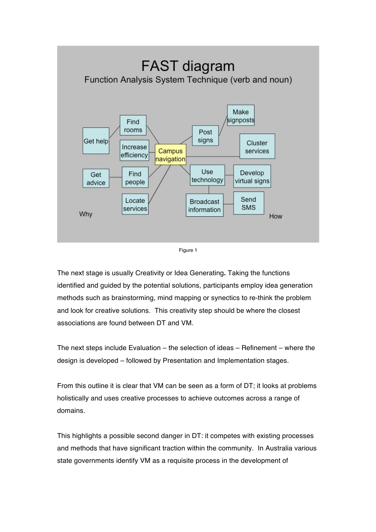



The next stage is usually Creativity or Idea Generating**.** Taking the functions identified and guided by the potential solutions, participants employ idea generation methods such as brainstorming, mind mapping or synectics to re-think the problem and look for creative solutions. This creativity step should be where the closest associations are found between DT and VM.

The next steps include Evaluation – the selection of ideas – Refinement – where the design is developed – followed by Presentation and Implementation stages.

From this outline it is clear that VM can be seen as a form of DT; it looks at problems holistically and uses creative processes to achieve outcomes across a range of domains.

This highlights a possible second danger in DT: it competes with existing processes and methods that have significant traction within the community. In Australia various state governments identify VM as a requisite process in the development of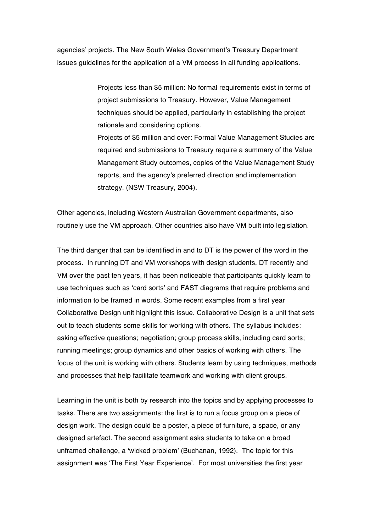agencies' projects. The New South Wales Government's Treasury Department issues guidelines for the application of a VM process in all funding applications.

> Projects less than \$5 million: No formal requirements exist in terms of project submissions to Treasury. However, Value Management techniques should be applied, particularly in establishing the project rationale and considering options.

Projects of \$5 million and over: Formal Value Management Studies are required and submissions to Treasury require a summary of the Value Management Study outcomes, copies of the Value Management Study reports, and the agency's preferred direction and implementation strategy. (NSW Treasury, 2004).

Other agencies, including Western Australian Government departments, also routinely use the VM approach. Other countries also have VM built into legislation.

The third danger that can be identified in and to DT is the power of the word in the process. In running DT and VM workshops with design students, DT recently and VM over the past ten years, it has been noticeable that participants quickly learn to use techniques such as 'card sorts' and FAST diagrams that require problems and information to be framed in words. Some recent examples from a first year Collaborative Design unit highlight this issue. Collaborative Design is a unit that sets out to teach students some skills for working with others. The syllabus includes: asking effective questions; negotiation; group process skills, including card sorts; running meetings; group dynamics and other basics of working with others. The focus of the unit is working with others. Students learn by using techniques, methods and processes that help facilitate teamwork and working with client groups.

Learning in the unit is both by research into the topics and by applying processes to tasks. There are two assignments: the first is to run a focus group on a piece of design work. The design could be a poster, a piece of furniture, a space, or any designed artefact. The second assignment asks students to take on a broad unframed challenge, a 'wicked problem' (Buchanan, 1992). The topic for this assignment was 'The First Year Experience'. For most universities the first year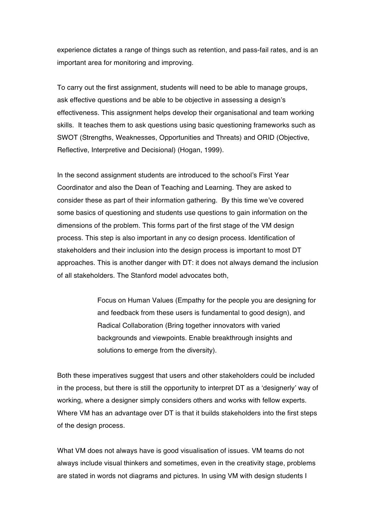experience dictates a range of things such as retention, and pass-fail rates, and is an important area for monitoring and improving.

To carry out the first assignment, students will need to be able to manage groups, ask effective questions and be able to be objective in assessing a design's effectiveness. This assignment helps develop their organisational and team working skills. It teaches them to ask questions using basic questioning frameworks such as SWOT (Strengths, Weaknesses, Opportunities and Threats) and ORID (Objective, Reflective, Interpretive and Decisional) (Hogan, 1999).

In the second assignment students are introduced to the school's First Year Coordinator and also the Dean of Teaching and Learning. They are asked to consider these as part of their information gathering. By this time we've covered some basics of questioning and students use questions to gain information on the dimensions of the problem. This forms part of the first stage of the VM design process. This step is also important in any co design process. Identification of stakeholders and their inclusion into the design process is important to most DT approaches. This is another danger with DT: it does not always demand the inclusion of all stakeholders. The Stanford model advocates both,

> Focus on Human Values (Empathy for the people you are designing for and feedback from these users is fundamental to good design), and Radical Collaboration (Bring together innovators with varied backgrounds and viewpoints. Enable breakthrough insights and solutions to emerge from the diversity).

Both these imperatives suggest that users and other stakeholders could be included in the process, but there is still the opportunity to interpret DT as a 'designerly' way of working, where a designer simply considers others and works with fellow experts. Where VM has an advantage over DT is that it builds stakeholders into the first steps of the design process.

What VM does not always have is good visualisation of issues. VM teams do not always include visual thinkers and sometimes, even in the creativity stage, problems are stated in words not diagrams and pictures. In using VM with design students I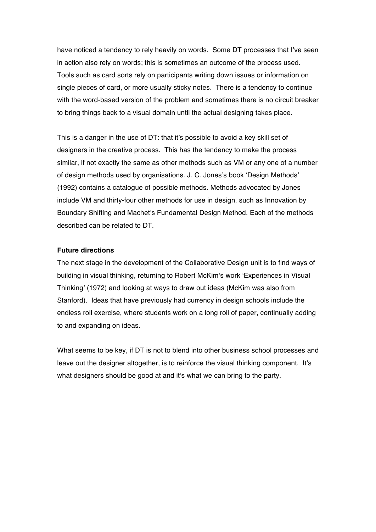have noticed a tendency to rely heavily on words. Some DT processes that I've seen in action also rely on words; this is sometimes an outcome of the process used. Tools such as card sorts rely on participants writing down issues or information on single pieces of card, or more usually sticky notes. There is a tendency to continue with the word-based version of the problem and sometimes there is no circuit breaker to bring things back to a visual domain until the actual designing takes place.

This is a danger in the use of DT: that it's possible to avoid a key skill set of designers in the creative process. This has the tendency to make the process similar, if not exactly the same as other methods such as VM or any one of a number of design methods used by organisations. J. C. Jones's book 'Design Methods' (1992) contains a catalogue of possible methods. Methods advocated by Jones include VM and thirty-four other methods for use in design, such as Innovation by Boundary Shifting and Machet's Fundamental Design Method. Each of the methods described can be related to DT.

## **Future directions**

The next stage in the development of the Collaborative Design unit is to find ways of building in visual thinking, returning to Robert McKim's work 'Experiences in Visual Thinking' (1972) and looking at ways to draw out ideas (McKim was also from Stanford). Ideas that have previously had currency in design schools include the endless roll exercise, where students work on a long roll of paper, continually adding to and expanding on ideas.

What seems to be key, if DT is not to blend into other business school processes and leave out the designer altogether, is to reinforce the visual thinking component. It's what designers should be good at and it's what we can bring to the party.